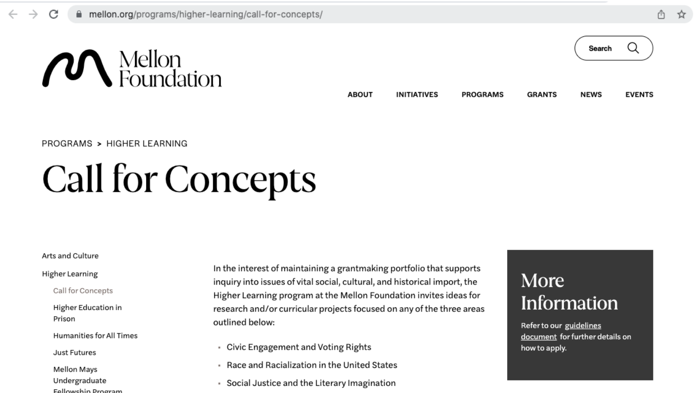



#### PROGRAMS > HIGHER LEARNING

# **Call for Concepts**

#### Arts and Culture

#### Higher Learning

Call for Concepts

Higher Education in Prison

**Humanities for All Times** 

**Just Futures** 

**Mellon Mays** Undergraduate Followship Brogram In the interest of maintaining a grantmaking portfolio that supports inquiry into issues of vital social, cultural, and historical import, the Higher Learning program at the Mellon Foundation invites ideas for research and/or curricular projects focused on any of the three areas outlined below:

- Civic Engagement and Voting Rights  $\sim$
- Race and Racialization in the United States
- Social Justice and the Literary Imagination

### More **Information**

Refer to our guidelines document for further details on how to apply.

**Link Title: ias.umn.edu**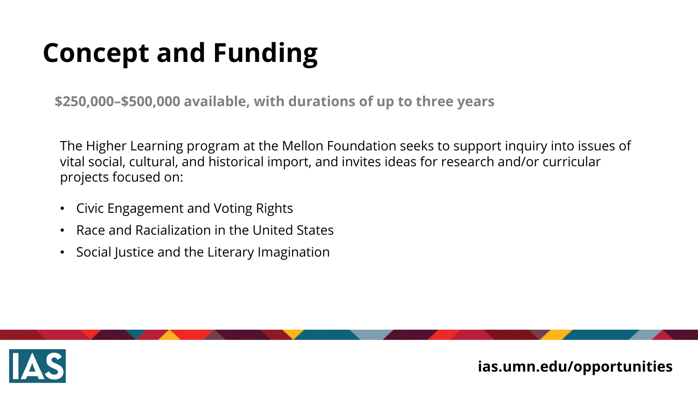# **Concept and Funding**

**\$250,000–\$500,000 available, with durations of up to three years** 

The Higher Learning program at the Mellon Foundation seeks to support inquiry into issues of vital social, cultural, and historical import, and invites ideas for research and/or curricular projects focused on:

- Civic Engagement and Voting Rights
- Race and Racialization in the United States
- Social Justice and the Literary Imagination

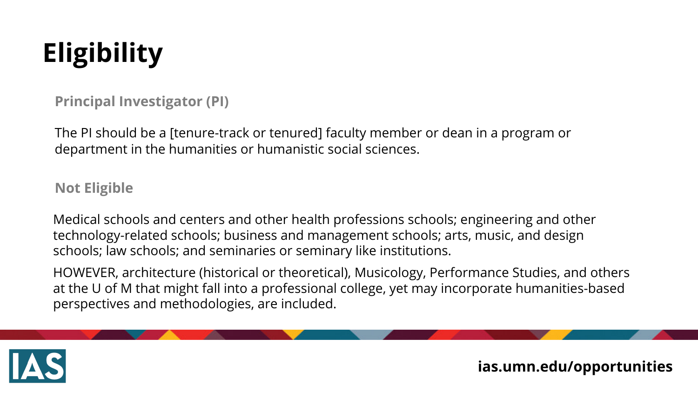# **Eligibility**

**Principal Investigator (PI)**

The PI should be a [tenure-track or tenured] faculty member or dean in a program or department in the humanities or humanistic social sciences.

**Not Eligible**

Medical schools and centers and other health professions schools; engineering and other technology-related schools; business and management schools; arts, music, and design schools; law schools; and seminaries or seminary like institutions.

HOWEVER, architecture (historical or theoretical), Musicology, Performance Studies, and others at the U of M that might fall into a professional college, yet may incorporate humanities-based perspectives and methodologies, are included.

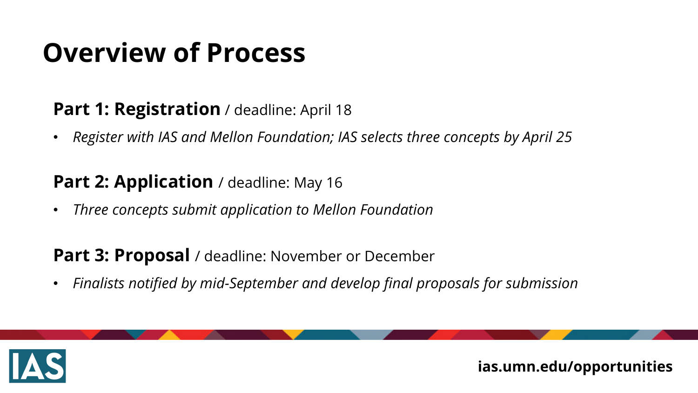# **Overview of Process**

#### **Part 1: Registration** / deadline: April 18

• *Register with IAS and Mellon Foundation; IAS selects three concepts by April 25*

### Part 2: Application / deadline: May 16

• *Three concepts submit application to Mellon Foundation*

#### **Part 3: Proposal** / deadline: November or December

• *Finalists notified by mid-September and develop final proposals for submission*

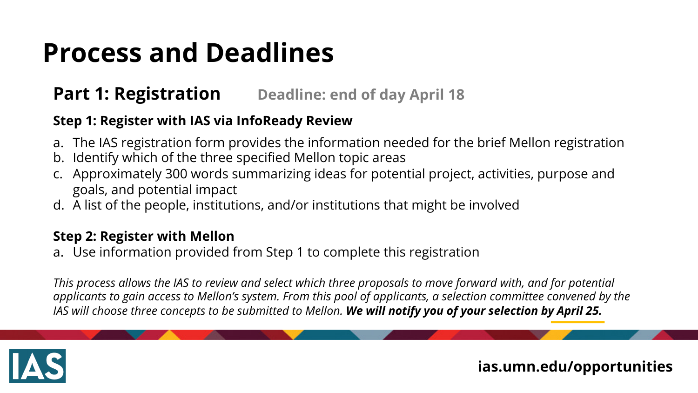# **Process and Deadlines**

#### **Part 1: Registration** Deadline: end of day April 18

#### **Step 1: Register with IAS via InfoReady Review**

- a. The IAS registration form provides the information needed for the brief Mellon registration
- b. Identify which of the three specified Mellon topic areas
- c. Approximately 300 words summarizing ideas for potential project, activities, purpose and goals, and potential impact
- d. A list of the people, institutions, and/or institutions that might be involved

#### **Step 2: Register with Mellon**

a. Use information provided from Step 1 to complete this registration

*This process allows the IAS to review and select which three proposals to move forward with, and for potential applicants to gain access to Mellon's system. From this pool of applicants, a selection committee convened by the IAS will choose three concepts to be submitted to Mellon. We will notify you of your selection by April 25.*

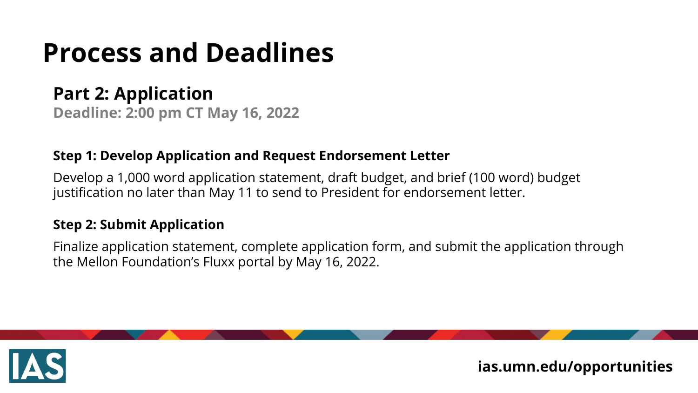# **Process and Deadlines**

## **Part 2: Application**

**Deadline: 2:00 pm CT May 16, 2022**

#### **Step 1: Develop Application and Request Endorsement Letter**

Develop a 1,000 word application statement, draft budget, and brief (100 word) budget justification no later than May 11 to send to President for endorsement letter.

#### **Step 2: Submit Application**

Finalize application statement, complete application form, and submit the application through the Mellon Foundation's Fluxx portal by May 16, 2022.